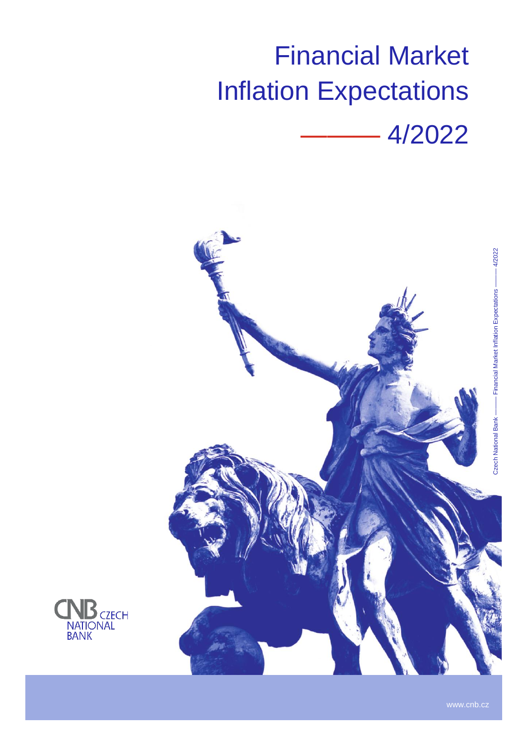# Financial Market Inflation Expectations





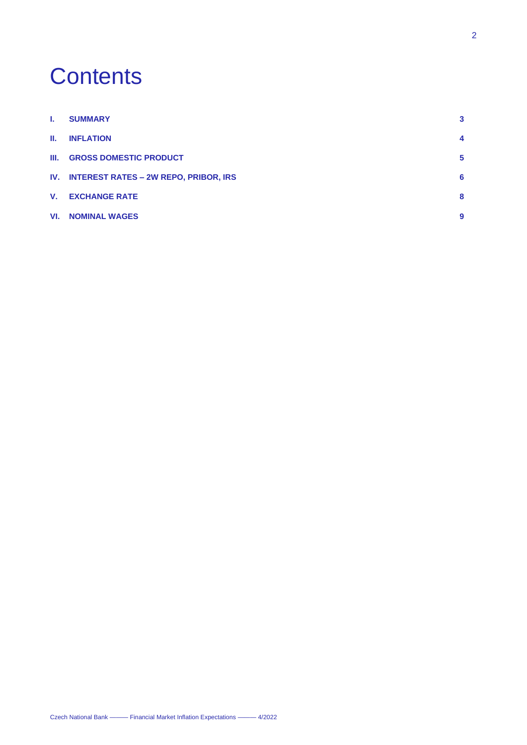# **Contents**

| <b>L</b>     | <b>SUMMARY</b>                            | 3 |
|--------------|-------------------------------------------|---|
| Ш.           | <b>INFLATION</b>                          | 4 |
|              | <b>III. GROSS DOMESTIC PRODUCT</b>        | 5 |
|              | IV. INTEREST RATES - 2W REPO, PRIBOR, IRS | 6 |
| $V_{\rm{r}}$ | <b>EXCHANGE RATE</b>                      | 8 |
|              | <b>VI. NOMINAL WAGES</b>                  | 9 |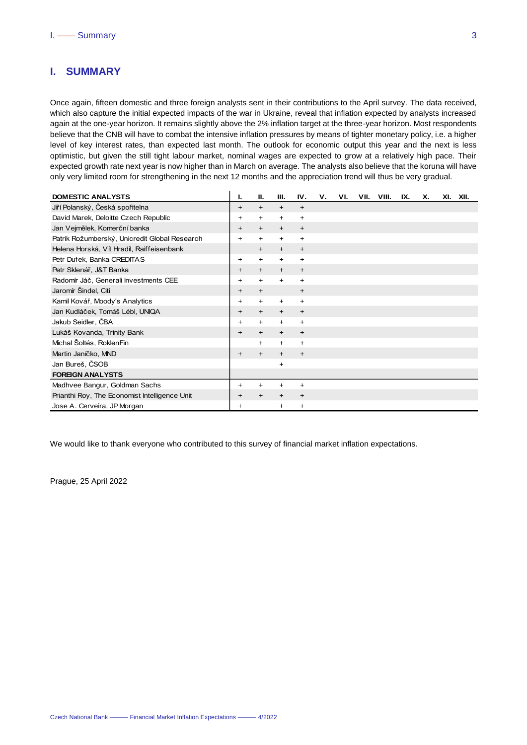# <span id="page-2-0"></span>**I. SUMMARY**

Once again, fifteen domestic and three foreign analysts sent in their contributions to the April survey. The data received, which also capture the initial expected impacts of the war in Ukraine, reveal that inflation expected by analysts increased again at the one-year horizon. It remains slightly above the 2% inflation target at the three-year horizon. Most respondents believe that the CNB will have to combat the intensive inflation pressures by means of tighter monetary policy, i.e. a higher level of key interest rates, than expected last month. The outlook for economic output this year and the next is less optimistic, but given the still tight labour market, nominal wages are expected to grow at a relatively high pace. Their expected growth rate next year is now higher than in March on average. The analysts also believe that the koruna will have only very limited room for strengthening in the next 12 months and the appreciation trend will thus be very gradual.

| <b>DOMESTIC ANALYSTS</b>                      | ı.        | Ш.        | Ш.        | IV.       | ۷. | VI. | VII. | VIII. | IX. | х. | XI. XII. |  |
|-----------------------------------------------|-----------|-----------|-----------|-----------|----|-----|------|-------|-----|----|----------|--|
| Jiří Polanský, Česká spořitelna               | +         | $\ddot{}$ | $\ddot{}$ | $\ddot{}$ |    |     |      |       |     |    |          |  |
| David Marek, Deloitte Czech Republic          | +         | $\ddot{}$ | $\ddot{}$ | $\ddot{}$ |    |     |      |       |     |    |          |  |
| Jan Vejmělek, Komerční banka                  | +         | $\ddot{}$ | $\ddot{}$ | $\ddot{}$ |    |     |      |       |     |    |          |  |
| Patrik Rožumberský, Unicredit Global Research | $\ddot{}$ | ÷.        | $\ddot{}$ | $\ddot{}$ |    |     |      |       |     |    |          |  |
| Helena Horská, Vít Hradil, Raiffeisenbank     |           | $+$       | $\ddot{}$ | $+$       |    |     |      |       |     |    |          |  |
| Petr Dufek, Banka CREDITAS                    | +         | $\ddot{}$ | $\ddot{}$ | $\ddot{}$ |    |     |      |       |     |    |          |  |
| Petr Sklenář, J&T Banka                       | +         | $\ddot{}$ | $\ddot{}$ | $\ddot{}$ |    |     |      |       |     |    |          |  |
| Radomír Jáč, Generali Investments CEE         | +         | +         | $\ddot{}$ | $\ddot{}$ |    |     |      |       |     |    |          |  |
| Jaromír Šindel, Citi                          | $\ddot{}$ | $+$       |           | $+$       |    |     |      |       |     |    |          |  |
| Kamil Kovář, Moody's Analytics                | ٠         | $\ddot{}$ | $\ddot{}$ | $\ddot{}$ |    |     |      |       |     |    |          |  |
| Jan Kudláček, Tomáš Lébl, UNIQA               | +         | $\ddot{}$ | $\ddot{}$ | $\ddot{}$ |    |     |      |       |     |    |          |  |
| Jakub Seidler, ČBA                            | +         | $\ddot{}$ | $\ddot{}$ | +         |    |     |      |       |     |    |          |  |
| Lukáš Kovanda, Trinity Bank                   | $\ddot{}$ | $\ddot{}$ | $\ddot{}$ | $\ddot{}$ |    |     |      |       |     |    |          |  |
| Michal Šoltés, RoklenFin                      |           | $+$       | $\ddot{}$ | +         |    |     |      |       |     |    |          |  |
| Martin Janíčko, MND                           | +         | $\ddot{}$ | $\ddot{}$ | $\ddot{}$ |    |     |      |       |     |    |          |  |
| Jan Bureš, ČSOB                               |           |           | +         |           |    |     |      |       |     |    |          |  |
| <b>FOREIGN ANALYSTS</b>                       |           |           |           |           |    |     |      |       |     |    |          |  |
| Madhvee Bangur, Goldman Sachs                 | ٠         | $\ddot{}$ | $\ddot{}$ | +         |    |     |      |       |     |    |          |  |
| Prianthi Roy, The Economist Intelligence Unit | +         | $\ddot{}$ | $\ddot{}$ | $\ddot{}$ |    |     |      |       |     |    |          |  |
| Jose A. Cerveira, JP Morgan                   | +         |           | +         | +         |    |     |      |       |     |    |          |  |

We would like to thank everyone who contributed to this survey of financial market inflation expectations.

Prague, 25 April 2022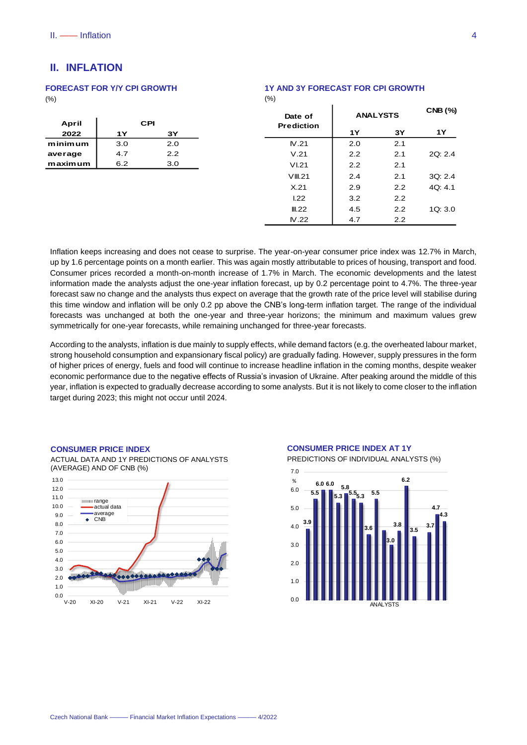# <span id="page-3-0"></span>**II. INFLATION**

## **FORECAST FOR Y/Y CPI GROWTH**

 $(% )$ 

| April     |     | CPI |
|-----------|-----|-----|
| 2022      | 1Y  | 3Y  |
| m inim um | 3.0 | 2.0 |
| average   | 4.7 | 22  |
| maximum   | 6.2 | 3.0 |

| Date of           | <b>ANALYSTS</b> | <b>CNB (%)</b> |         |
|-------------------|-----------------|----------------|---------|
| <b>Prediction</b> | 1Υ              | 3Υ             | 1Υ      |
| N.21              | 2.0             | 2.1            |         |
| V.21              | 2.2             | 2.1            | 2Q: 2.4 |
| VI.21             | 2.2             | 2.1            |         |
| VIII.21           | 2.4             | 2.1            | 3Q: 2.4 |
| X.21              | 2.9             | 2.2            | 4Q: 4.1 |
| 1.22              | 3.2             | 2.2            |         |
| III.22            | 4.5             | 2.2            | 1Q: 3.0 |
| N.22              | 4.7             | 2.2            |         |

Inflation keeps increasing and does not cease to surprise. The year-on-year consumer price index was 12.7% in March, . up by 1.6 percentage points on a month earlier. This was again mostly attributable to prices of housing, transport and food. Consumer prices recorded a month-on-month increase of 1.7% in March. The economic developments and the latest information made the analysts adjust the one-year inflation forecast, up by 0.2 percentage point to 4.7%. The three-year forecast saw no change and the analysts thus expect on average that the growth rate of the price level will stabilise during this time window and inflation will be only 0.2 pp above the CNB's long-term inflation target. The range of the individual forecasts was unchanged at both the one-year and three-year horizons; the minimum and maximum values grew symmetrically for one-year forecasts, while remaining unchanged for three-year forecasts.

(%)

According to the analysts, inflation is due mainly to supply effects, while demand factors (e.g. the overheated labour market, strong household consumption and expansionary fiscal policy) are gradually fading. However, supply pressures in the form of higher prices of energy, fuels and food will continue to increase headline inflation in the coming months, despite weaker economic performance due to the negative effects of Russia's invasion of Ukraine. After peaking around the middle of this year, inflation is expected to gradually decrease according to some analysts. But it is not likely to come closer to the inflation target during 2023; this might not occur until 2024.

#### **CONSUMER PRICE INDEX**



ACTUAL DATA AND 1Y PREDICTIONS OF ANALYSTS (AVERAGE) AND OF CNB (%)



PREDICTIONS OF INDIVIDUAL ANALYSTS (%)

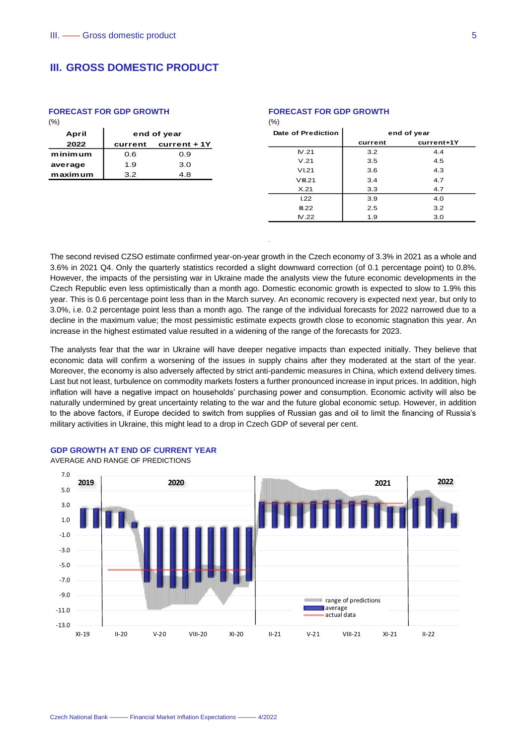# <span id="page-4-0"></span>**III. GROSS DOMESTIC PRODUCT**

#### **FORECAST FOR GDP GROWTH**

| April   | end of year |                |  |  |  |  |
|---------|-------------|----------------|--|--|--|--|
| 2022    | current     | $current + 1Y$ |  |  |  |  |
| minimum | 0.6         | 0.9            |  |  |  |  |
| average | 1.9         | 3.0            |  |  |  |  |
| maximum | 3.2         | 4.8            |  |  |  |  |

# **FORECAST FOR GDP GROWTH**

| $\cdots$           |             |            |  |  |  |  |
|--------------------|-------------|------------|--|--|--|--|
| Date of Prediction | end of year |            |  |  |  |  |
|                    | current     | current+1Y |  |  |  |  |
| N.21               | 3.2         | 4.4        |  |  |  |  |
| V.21               | 3.5         | 4.5        |  |  |  |  |
| VI.21              | 3.6         | 4.3        |  |  |  |  |
| VIII.21            | 3.4         | 4.7        |  |  |  |  |
| X.21               | 3.3         | 4.7        |  |  |  |  |
| 1.22               | 3.9         | 4.0        |  |  |  |  |
| III.22             | 2.5         | 3.2        |  |  |  |  |
| N.22               | 1.9         | 3.0        |  |  |  |  |
|                    |             |            |  |  |  |  |

The second revised CZSO estimate confirmed year-on-year growth in the Czech economy of 3.3% in 2021 as a whole and 3.6% in 2021 Q4. Only the quarterly statistics recorded a slight downward correction (of 0.1 percentage point) to 0.8%. However, the impacts of the persisting war in Ukraine made the analysts view the future economic developments in the Czech Republic even less optimistically than a month ago. Domestic economic growth is expected to slow to 1.9% this year. This is 0.6 percentage point less than in the March survey. An economic recovery is expected next year, but only to 3.0%, i.e. 0.2 percentage point less than a month ago. The range of the individual forecasts for 2022 narrowed due to a decline in the maximum value; the most pessimistic estimate expects growth close to economic stagnation this year. An increase in the highest estimated value resulted in a widening of the range of the forecasts for 2023.

.

 $(0/2)$ 

The analysts fear that the war in Ukraine will have deeper negative impacts than expected initially. They believe that economic data will confirm a worsening of the issues in supply chains after they moderated at the start of the year. Moreover, the economy is also adversely affected by strict anti-pandemic measures in China, which extend delivery times. Last but not least, turbulence on commodity markets fosters a further pronounced increase in input prices. In addition, high inflation will have a negative impact on households' purchasing power and consumption. Economic activity will also be naturally undermined by great uncertainty relating to the war and the future global economic setup. However, in addition to the above factors, if Europe decided to switch from supplies of Russian gas and oil to limit the financing of Russia's military activities in Ukraine, this might lead to a drop in Czech GDP of several per cent.

#### **GDP GROWTH AT END OF CURRENT YEAR**

AVERAGE AND RANGE OF PREDICTIONS

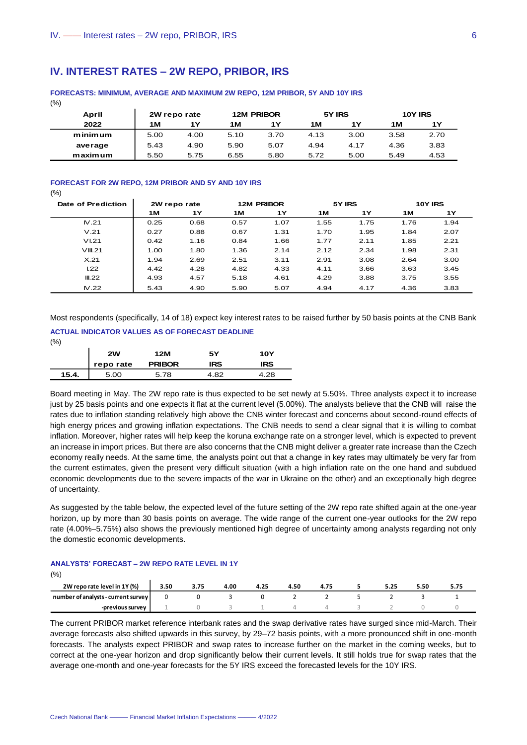# <span id="page-5-0"></span>**IV. INTEREST RATES – 2W REPO, PRIBOR, IRS**

| April   |      | 2W repo rate |      | <b>12M PRIBOR</b> |      | 5Y IRS |      | 10Y IRS |
|---------|------|--------------|------|-------------------|------|--------|------|---------|
| 2022    | 1M   | 1Υ           | 1 M  | 1Υ                | 1 M  | 1Υ     | 1M   | 1Υ      |
| minimum | 5.00 | 4.00         | 5.10 | 3.70              | 4.13 | 3.00   | 3.58 | 2.70    |
| average | 5.43 | 4.90         | 5.90 | 5.07              | 4.94 | 4.17   | 4.36 | 3.83    |
| maximum | 5.50 | 5.75         | 6.55 | 5.80              | 5.72 | 5.00   | 5.49 | 4.53    |

#### **FORECASTS: MINIMUM, AVERAGE AND MAXIMUM 2W REPO, 12M PRIBOR, 5Y AND 10Y IRS**

 $(9/2)$ 

#### **FORECAST FOR 2W REPO, 12M PRIBOR AND 5Y AND 10Y IRS**

 $(% )$ 

| Date of Prediction | 2W repo rate |           | <b>12M PRIBOR</b> |      |      | 5Y IRS    | <b>10Y IRS</b> |      |  |
|--------------------|--------------|-----------|-------------------|------|------|-----------|----------------|------|--|
|                    | 1 M          | <b>1Y</b> | 1M                | 1Y   | 1 M  | <b>1Y</b> | 1M             | 1Υ   |  |
| N.21               | 0.25         | 0.68      | 0.57              | 1.07 | 1.55 | 1.75      | 1.76           | 1.94 |  |
| V.21               | 0.27         | 0.88      | 0.67              | 1.31 | 1.70 | 1.95      | 1.84           | 2.07 |  |
| VI.21              | 0.42         | 1.16      | 0.84              | 1.66 | 1.77 | 2.11      | 1.85           | 2.21 |  |
| VIII.21            | 1.00         | 1.80      | 1.36              | 2.14 | 2.12 | 2.34      | 1.98           | 2.31 |  |
| X.21               | 1.94         | 2.69      | 2.51              | 3.11 | 2.91 | 3.08      | 2.64           | 3.00 |  |
| L22                | 4.42         | 4.28      | 4.82              | 4.33 | 4.11 | 3.66      | 3.63           | 3.45 |  |
| III.22             | 4.93         | 4.57      | 5.18              | 4.61 | 4.29 | 3.88      | 3.75           | 3.55 |  |
| N.22               | 5.43         | 4.90      | 5.90              | 5.07 | 4.94 | 4.17      | 4.36           | 3.83 |  |

Most respondents (specifically, 14 of 18) expect key interest rates to be raised further by 50 basis points at the CNB Bank

## **ACTUAL INDICATOR VALUES AS OF FORECAST DEADLINE**

 $(0/\)$ 

|       | 2W        | 12M           | 5Υ         | <b>10Y</b> |
|-------|-----------|---------------|------------|------------|
|       | repo rate | <b>PRIBOR</b> | <b>IRS</b> | <b>IRS</b> |
| 15.4. | 5.00      | 5.78          | 4.82       | .28        |

Board meeting in May. The 2W repo rate is thus expected to be set newly at 5.50%. Three analysts expect it to increase just by 25 basis points and one expects it flat at the current level (5.00%). The analysts believe that the CNB will raise the rates due to inflation standing relatively high above the CNB winter forecast and concerns about second-round effects of high energy prices and growing inflation expectations. The CNB needs to send a clear signal that it is willing to combat inflation. Moreover, higher rates will help keep the koruna exchange rate on a stronger level, which is expected to prevent an increase in import prices. But there are also concerns that the CNB might deliver a greater rate increase than the Czech economy really needs. At the same time, the analysts point out that a change in key rates may ultimately be very far from the current estimates, given the present very difficult situation (with a high inflation rate on the one hand and subdued economic developments due to the severe impacts of the war in Ukraine on the other) and an exceptionally high degree of uncertainty.

As suggested by the table below, the expected level of the future setting of the 2W repo rate shifted again at the one-year horizon, up by more than 30 basis points on average. The wide range of the current one-year outlooks for the 2W repo rate (4.00%–5.75%) also shows the previously mentioned high degree of uncertainty among analysts regarding not only the domestic economic developments.

#### **ANALYSTS' FORECAST – 2W REPO RATE LEVEL IN 1Y**

(%)

| 2W repo rate level in 1Y (%)        | 3.50 | 3.75 | 4.00 | 4.25 | .50 |  | 5.25 | 5.50 |  |
|-------------------------------------|------|------|------|------|-----|--|------|------|--|
| number of analysts - current survey |      |      |      |      |     |  |      |      |  |
| -previous survey                    |      |      |      |      |     |  |      |      |  |

The current PRIBOR market reference interbank rates and the swap derivative rates have surged since mid-March. Their average forecasts also shifted upwards in this survey, by 29–72 basis points, with a more pronounced shift in one-month forecasts. The analysts expect PRIBOR and swap rates to increase further on the market in the coming weeks, but to correct at the one-year horizon and drop significantly below their current levels. It still holds true for swap rates that the average one-month and one-year forecasts for the 5Y IRS exceed the forecasted levels for the 10Y IRS.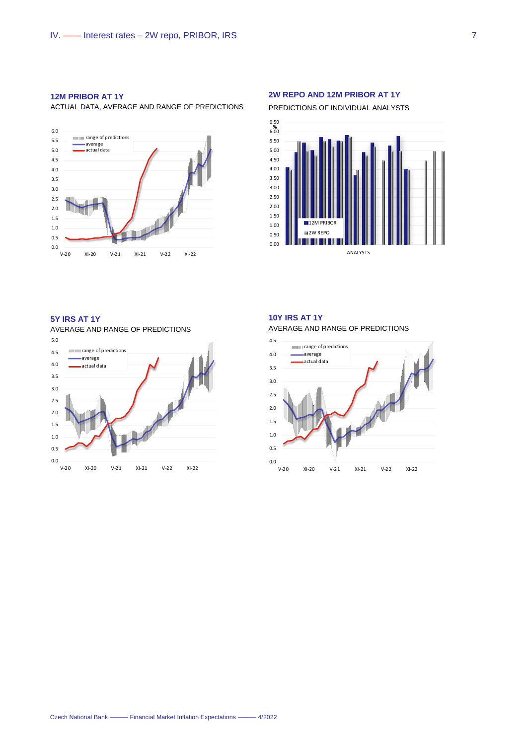#### **12M PRIBOR AT 1Y**

ACTUAL DATA, AVERAGE AND RANGE OF PREDICTIONS



#### **2W REPO AND 12M PRIBOR AT 1Y**

PREDICTIONS OF INDIVIDUAL ANALYSTS



# **5Y IRS AT 1Y**

AVERAGE AND RANGE OF PREDICTIONS



#### **10Y IRS AT 1Y** AVERAGE AND RANGE OF PREDICTIONS



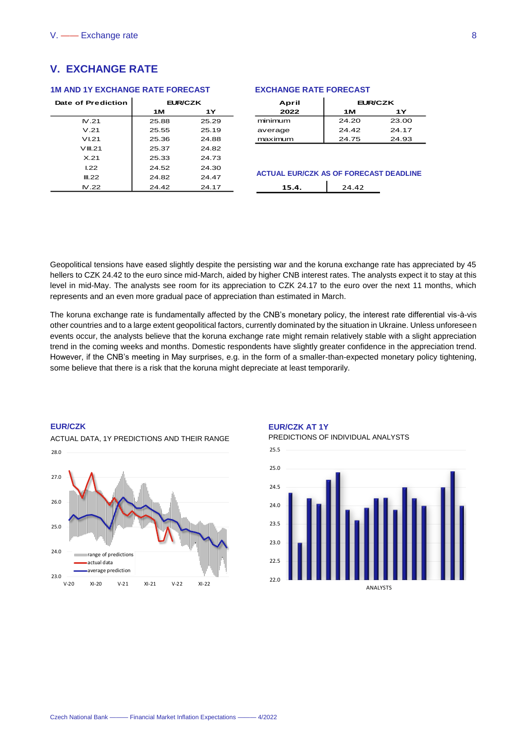# <span id="page-7-0"></span>**V. EXCHANGE RATE**

#### **1M AND 1Y EXCHANGE RATE FORECAST**

| Date of Prediction | <b>EUR/CZK</b> |       |  |  |  |
|--------------------|----------------|-------|--|--|--|
|                    | 1 M            | 1Y    |  |  |  |
| IV 21              | 25.88          | 25.29 |  |  |  |
| V.21               | 25.55          | 25.19 |  |  |  |
| VI 21              | 25.36          | 24.88 |  |  |  |
| VIII.21            | 25.37          | 24.82 |  |  |  |
| $\times$ 21        | 25.33          | 24 73 |  |  |  |
| 122                | 24.52          | 24.30 |  |  |  |
| III 22             | 24.82          | 24 47 |  |  |  |
| N.22               | 24.42          | 24.17 |  |  |  |

#### **EXCHANGE RATE FORECAST**

| April   | <b>EUR/CZK</b> |       |
|---------|----------------|-------|
| 2022    | 1 M            | 1 Y   |
| minimum | 24.20          | 23.00 |
| average | 24.42          | 24.17 |
| maximum | 24.75          | 24.93 |

#### **ACTUAL EUR/CZK AS OF FORECAST DEADLINE**  $\mathbf{r}$

| . .<br>. . | ٠ |
|------------|---|
|            |   |

Geopolitical tensions have eased slightly despite the persisting war and the koruna exchange rate has appreciated by 45 hellers to CZK 24.42 to the euro since mid-March, aided by higher CNB interest rates. The analysts expect it to stay at this level in mid-May. The analysts see room for its appreciation to CZK 24.17 to the euro over the next 11 months, which represents and an even more gradual pace of appreciation than estimated in March.

The koruna exchange rate is fundamentally affected by the CNB's monetary policy, the interest rate differential vis-à-vis other countries and to a large extent geopolitical factors, currently dominated by the situation in Ukraine. Unless unforeseen events occur, the analysts believe that the koruna exchange rate might remain relatively stable with a slight appreciation trend in the coming weeks and months. Domestic respondents have slightly greater confidence in the appreciation trend. However, if the CNB's meeting in May surprises, e.g. in the form of a smaller-than-expected monetary policy tightening, some believe that there is a risk that the koruna might depreciate at least temporarily.

#### **EUR/CZK**

ACTUAL DATA, 1Y PREDICTIONS AND THEIR RANGE



# **EUR/CZK AT 1Y**

PREDICTIONS OF INDIVIDUAL ANALYSTS